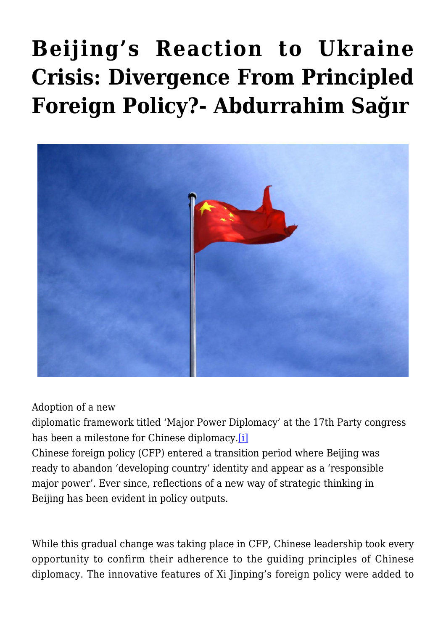## **[Beijing's Reaction to Ukraine](https://www.uikpanorama.com/blog/2022/04/14/cin-ukr/) [Crisis: Divergence From Principled](https://www.uikpanorama.com/blog/2022/04/14/cin-ukr/) [Foreign Policy?- Abdurrahim Sağır](https://www.uikpanorama.com/blog/2022/04/14/cin-ukr/)**



Adoption of a new

diplomatic framework titled 'Major Power Diplomacy' at the 17th Party congress has been a milestone for Chinese diplomacy[.\[i\]](#page--1-0)

Chinese foreign policy (CFP) entered a transition period where Beijing was ready to abandon 'developing country' identity and appear as a 'responsible major power'. Ever since, reflections of a new way of strategic thinking in Beijing has been evident in policy outputs.

While this gradual change was taking place in CFP, Chinese leadership took every opportunity to confirm their adherence to the guiding principles of Chinese diplomacy. The innovative features of Xi Jinping's foreign policy were added to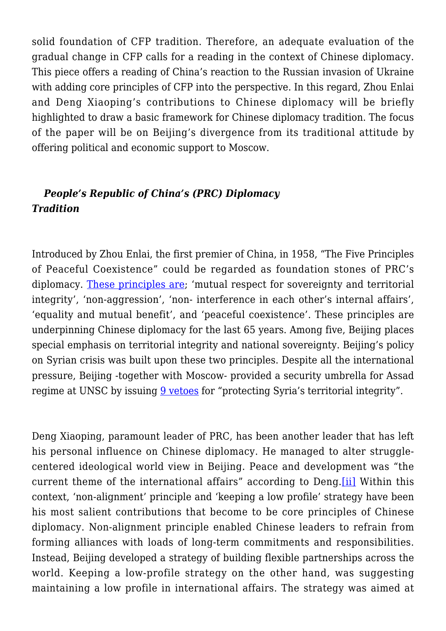solid foundation of CFP tradition. Therefore, an adequate evaluation of the gradual change in CFP calls for a reading in the context of Chinese diplomacy. This piece offers a reading of China's reaction to the Russian invasion of Ukraine with adding core principles of CFP into the perspective. In this regard, Zhou Enlai and Deng Xiaoping's contributions to Chinese diplomacy will be briefly highlighted to draw a basic framework for Chinese diplomacy tradition. The focus of the paper will be on Beijing's divergence from its traditional attitude by offering political and economic support to Moscow.

## *People's Republic of China's (PRC) Diplomacy Tradition*

Introduced by Zhou Enlai, the first premier of China, in 1958, "The Five Principles of Peaceful Coexistence" could be regarded as foundation stones of PRC's diplomacy. [These principles are;](https://www.fmprc.gov.cn/mfa_eng/wjdt_665385/zyjh_665391/201407/t20140701_678184.html) 'mutual respect for sovereignty and territorial integrity', 'non-aggression', 'non- interference in each other's internal affairs', 'equality and mutual benefit', and 'peaceful coexistence'. These principles are underpinning Chinese diplomacy for the last 65 years. Among five, Beijing places special emphasis on territorial integrity and national sovereignty. Beijing's policy on Syrian crisis was built upon these two principles. Despite all the international pressure, Beijing -together with Moscow- provided a security umbrella for Assad regime at UNSC by issuing  $9$  vetoes for "protecting Syria's territorial integrity".

Deng Xiaoping, paramount leader of PRC, has been another leader that has left his personal influence on Chinese diplomacy. He managed to alter strugglecentered ideological world view in Beijing. Peace and development was "the current theme of the international affairs" according to Deng[.\[ii\]](#page--1-0) Within this context, 'non-alignment' principle and 'keeping a low profile' strategy have been his most salient contributions that become to be core principles of Chinese diplomacy. Non-alignment principle enabled Chinese leaders to refrain from forming alliances with loads of long-term commitments and responsibilities. Instead, Beijing developed a strategy of building flexible partnerships across the world. Keeping a low-profile strategy on the other hand, was suggesting maintaining a low profile in international affairs. The strategy was aimed at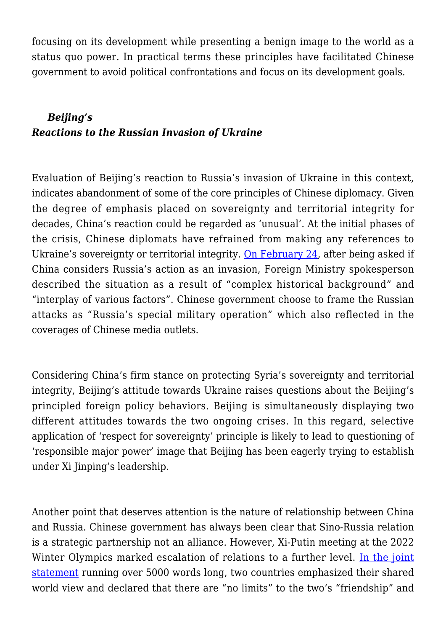focusing on its development while presenting a benign image to the world as a status quo power. In practical terms these principles have facilitated Chinese government to avoid political confrontations and focus on its development goals.

## *Beijing's Reactions to the Russian Invasion of Ukraine*

Evaluation of Beijing's reaction to Russia's invasion of Ukraine in this context, indicates abandonment of some of the core principles of Chinese diplomacy. Given the degree of emphasis placed on sovereignty and territorial integrity for decades, China's reaction could be regarded as 'unusual'. At the initial phases of the crisis, Chinese diplomats have refrained from making any references to Ukraine's sovereignty or territorial integrity. [On February 24](https://www.fmprc.gov.cn/mfa_eng/xwfw_665399/s2510_665401/2511_665403/202202/t20220224_10645282.html), after being asked if China considers Russia's action as an invasion, Foreign Ministry spokesperson described the situation as a result of "complex historical background" and "interplay of various factors". Chinese government choose to frame the Russian attacks as "Russia's special military operation" which also reflected in the coverages of Chinese media outlets.

Considering China's firm stance on protecting Syria's sovereignty and territorial integrity, Beijing's attitude towards Ukraine raises questions about the Beijing's principled foreign policy behaviors. Beijing is simultaneously displaying two different attitudes towards the two ongoing crises. In this regard, selective application of 'respect for sovereignty' principle is likely to lead to questioning of 'responsible major power' image that Beijing has been eagerly trying to establish under Xi Jinping's leadership.

Another point that deserves attention is the nature of relationship between China and Russia. Chinese government has always been clear that Sino-Russia relation is a strategic partnership not an alliance. However, Xi-Putin meeting at the 2022 Winter Olympics marked escalation of relations to a further level. [In the joint](http://en.kremlin.ru/supplement/5770) [statement](http://en.kremlin.ru/supplement/5770) running over 5000 words long, two countries emphasized their shared world view and declared that there are "no limits" to the two's "friendship" and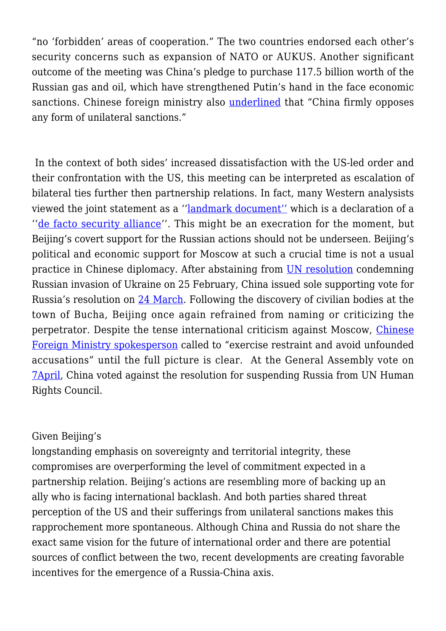"no 'forbidden' areas of cooperation." The two countries endorsed each other's security concerns such as expansion of NATO or AUKUS. Another significant outcome of the meeting was China's pledge to purchase 117.5 billion worth of the Russian gas and oil, which have strengthened Putin's hand in the face economic sanctions. Chinese foreign ministry also [underlined](https://www.fmprc.gov.cn/mfa_eng/xwfw_665399/s2510_665401/2511_665403/202203/t20220309_10650266.html) that "China firmly opposes any form of unilateral sanctions."

 In the context of both sides' increased dissatisfaction with the US-led order and their confrontation with the US, this meeting can be interpreted as escalation of bilateral ties further then partnership relations. In fact, many Western analysists viewed the joint statement as a '['landmark document''](https://responsiblestatecraft.org/2022/02/12/breaking-down-that-putin-xi-joint-statement-on-a-new-era) which is a declaration of a ''[de facto security alliance'](https://www.atlanticcouncil.org/content-series/inflection-points/the-worlds-top-two-authoritarians-have-teamed-up-the-us-should-be-on-alert/)'. This might be an execration for the moment, but Beijing's covert support for the Russian actions should not be underseen. Beijing's political and economic support for Moscow at such a crucial time is not a usual practice in Chinese diplomacy. After abstaining from [UN resolution](https://www.un.org/press/en/2022/sc14808.doc.htm) condemning Russian invasion of Ukraine on 25 February, China issued sole supporting vote for Russia's resolution on [24 March.](https://news.un.org/en/story/2022/03/1114552) Following the discovery of civilian bodies at the town of Bucha, Beijing once again refrained from naming or criticizing the perpetrator. Despite the tense international criticism against Moscow, [Chinese](https://www.fmprc.gov.cn/mfa_eng/xwfw_665399/s2510_665401/2511_665403/202204/t20220406_10665019.html) [Foreign Ministry spokesperson](https://www.fmprc.gov.cn/mfa_eng/xwfw_665399/s2510_665401/2511_665403/202204/t20220406_10665019.html) called to "exercise restraint and avoid unfounded accusations" until the full picture is clear. At the General Assembly vote on [7April,](https://news.un.org/en/story/2022/04/1115782) China voted against the resolution for suspending Russia from UN Human Rights Council.

## Given Beijing's

longstanding emphasis on sovereignty and territorial integrity, these compromises are overperforming the level of commitment expected in a partnership relation. Beijing's actions are resembling more of backing up an ally who is facing international backlash. And both parties shared threat perception of the US and their sufferings from unilateral sanctions makes this rapprochement more spontaneous. Although China and Russia do not share the exact same vision for the future of international order and there are potential sources of conflict between the two, recent developments are creating favorable incentives for the emergence of a Russia-China axis.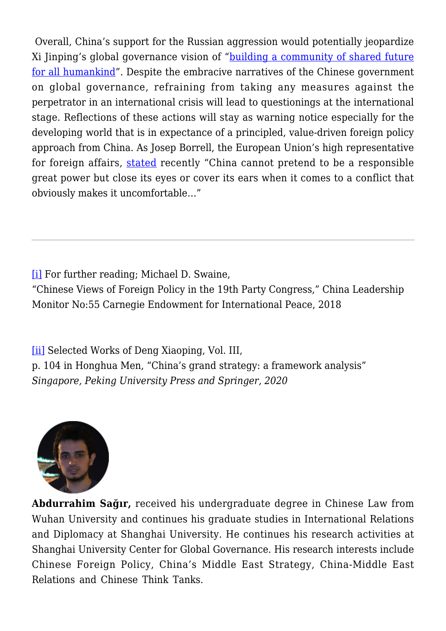Overall, China's support for the Russian aggression would potentially jeopardize Xi Jinping's global governance vision of ["building a community of shared future](http://www.gov.cn/xinwen/2021-08/02/content_5628897.htm) [for all humankind](http://www.gov.cn/xinwen/2021-08/02/content_5628897.htm)". Despite the embracive narratives of the Chinese government on global governance, refraining from taking any measures against the perpetrator in an international crisis will lead to questionings at the international stage. Reflections of these actions will stay as warning notice especially for the developing world that is in expectance of a principled, value-driven foreign policy approach from China. As Josep Borrell, the European Union's high representative for foreign affairs, [stated](https://www.bloomberg.com/news/articles/2022-04-06/eu-s-top-diplomat-calls-summit-with-china-s-xi-a-deaf-dialog) recently "China cannot pretend to be a responsible great power but close its eyes or cover its ears when it comes to a conflict that obviously makes it uncomfortable…"

[\[i\]](#page--1-0) For further reading; Michael D. Swaine,

"Chinese Views of Foreign Policy in the 19th Party Congress," China Leadership Monitor No:55 Carnegie Endowment for International Peace, 2018

[\[ii\]](#page--1-0) Selected Works of Deng Xiaoping, Vol. III, p. 104 in Honghua Men, "China's grand strategy: a framework analysis" *Singapore, Peking University Press and Springer, 2020*



**Abdurrahim Sağır,** received his undergraduate degree in Chinese Law from Wuhan University and continues his graduate studies in International Relations and Diplomacy at Shanghai University. He continues his research activities at Shanghai University Center for Global Governance. His research interests include Chinese Foreign Policy, China's Middle East Strategy, China-Middle East Relations and Chinese Think Tanks.